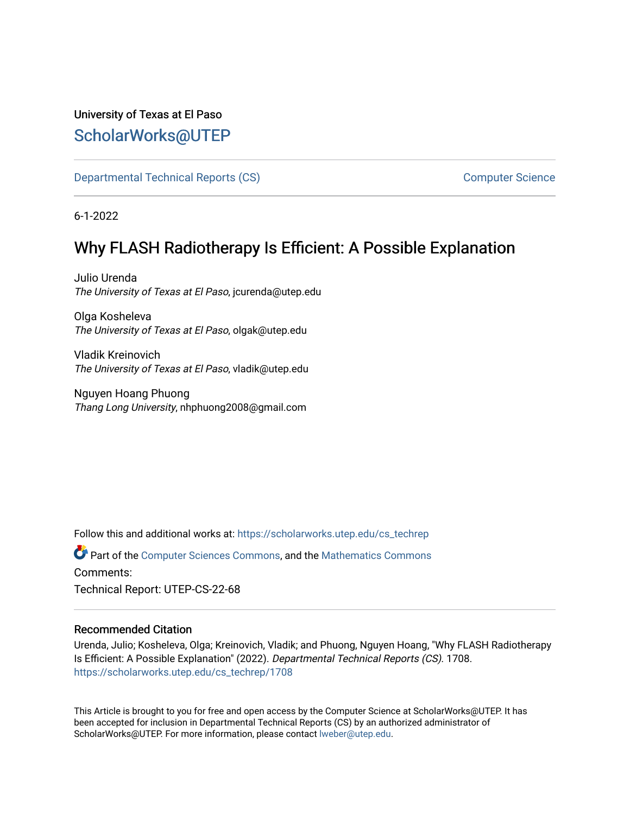## University of Texas at El Paso [ScholarWorks@UTEP](https://scholarworks.utep.edu/)

[Departmental Technical Reports \(CS\)](https://scholarworks.utep.edu/cs_techrep) [Computer Science](https://scholarworks.utep.edu/computer) 

6-1-2022

# Why FLASH Radiotherapy Is Efficient: A Possible Explanation

Julio Urenda The University of Texas at El Paso, jcurenda@utep.edu

Olga Kosheleva The University of Texas at El Paso, olgak@utep.edu

Vladik Kreinovich The University of Texas at El Paso, vladik@utep.edu

Nguyen Hoang Phuong Thang Long University, nhphuong2008@gmail.com

Follow this and additional works at: [https://scholarworks.utep.edu/cs\\_techrep](https://scholarworks.utep.edu/cs_techrep?utm_source=scholarworks.utep.edu%2Fcs_techrep%2F1708&utm_medium=PDF&utm_campaign=PDFCoverPages) 

Part of the [Computer Sciences Commons](https://network.bepress.com/hgg/discipline/142?utm_source=scholarworks.utep.edu%2Fcs_techrep%2F1708&utm_medium=PDF&utm_campaign=PDFCoverPages), and the [Mathematics Commons](https://network.bepress.com/hgg/discipline/174?utm_source=scholarworks.utep.edu%2Fcs_techrep%2F1708&utm_medium=PDF&utm_campaign=PDFCoverPages)  Comments:

Technical Report: UTEP-CS-22-68

### Recommended Citation

Urenda, Julio; Kosheleva, Olga; Kreinovich, Vladik; and Phuong, Nguyen Hoang, "Why FLASH Radiotherapy Is Efficient: A Possible Explanation" (2022). Departmental Technical Reports (CS). 1708. [https://scholarworks.utep.edu/cs\\_techrep/1708](https://scholarworks.utep.edu/cs_techrep/1708?utm_source=scholarworks.utep.edu%2Fcs_techrep%2F1708&utm_medium=PDF&utm_campaign=PDFCoverPages) 

This Article is brought to you for free and open access by the Computer Science at ScholarWorks@UTEP. It has been accepted for inclusion in Departmental Technical Reports (CS) by an authorized administrator of ScholarWorks@UTEP. For more information, please contact [lweber@utep.edu](mailto:lweber@utep.edu).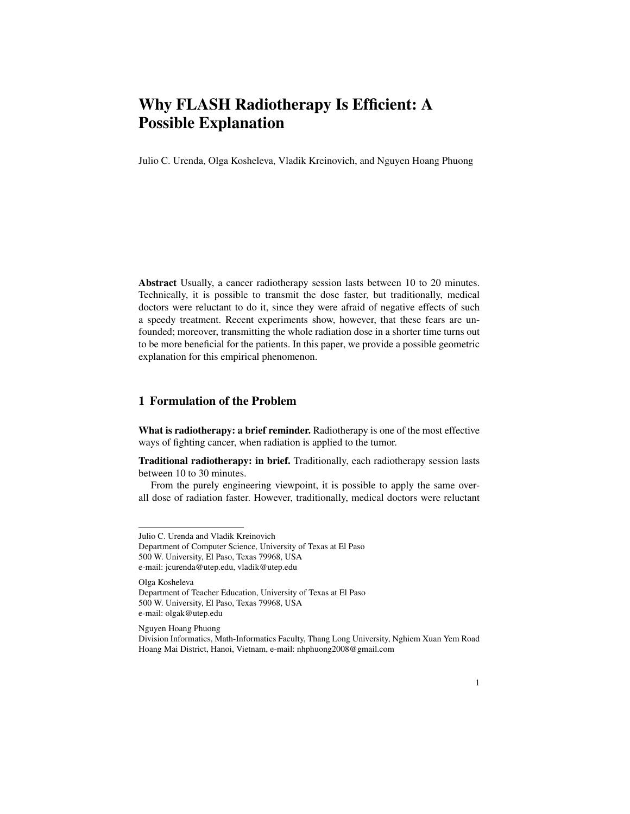## Why FLASH Radiotherapy Is Efficient: A Possible Explanation

Julio C. Urenda, Olga Kosheleva, Vladik Kreinovich, and Nguyen Hoang Phuong

Abstract Usually, a cancer radiotherapy session lasts between 10 to 20 minutes. Technically, it is possible to transmit the dose faster, but traditionally, medical doctors were reluctant to do it, since they were afraid of negative effects of such a speedy treatment. Recent experiments show, however, that these fears are unfounded; moreover, transmitting the whole radiation dose in a shorter time turns out to be more beneficial for the patients. In this paper, we provide a possible geometric explanation for this empirical phenomenon.

#### 1 Formulation of the Problem

What is radiotherapy: a brief reminder. Radiotherapy is one of the most effective ways of fighting cancer, when radiation is applied to the tumor.

Traditional radiotherapy: in brief. Traditionally, each radiotherapy session lasts between 10 to 30 minutes.

From the purely engineering viewpoint, it is possible to apply the same overall dose of radiation faster. However, traditionally, medical doctors were reluctant

Olga Kosheleva Department of Teacher Education, University of Texas at El Paso 500 W. University, El Paso, Texas 79968, USA e-mail: olgak@utep.edu

Nguyen Hoang Phuong

Julio C. Urenda and Vladik Kreinovich

Department of Computer Science, University of Texas at El Paso 500 W. University, El Paso, Texas 79968, USA e-mail: jcurenda@utep.edu, vladik@utep.edu

Division Informatics, Math-Informatics Faculty, Thang Long University, Nghiem Xuan Yem Road Hoang Mai District, Hanoi, Vietnam, e-mail: nhphuong2008@gmail.com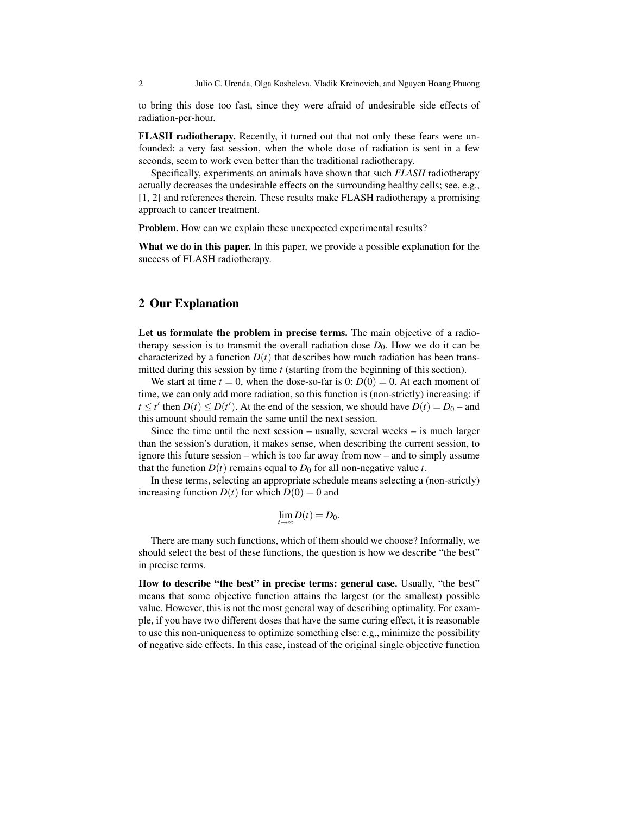to bring this dose too fast, since they were afraid of undesirable side effects of radiation-per-hour.

FLASH radiotherapy. Recently, it turned out that not only these fears were unfounded: a very fast session, when the whole dose of radiation is sent in a few seconds, seem to work even better than the traditional radiotherapy.

Specifically, experiments on animals have shown that such *FLASH* radiotherapy actually decreases the undesirable effects on the surrounding healthy cells; see, e.g., [1, 2] and references therein. These results make FLASH radiotherapy a promising approach to cancer treatment.

Problem. How can we explain these unexpected experimental results?

What we do in this paper. In this paper, we provide a possible explanation for the success of FLASH radiotherapy.

#### 2 Our Explanation

Let us formulate the problem in precise terms. The main objective of a radiotherapy session is to transmit the overall radiation dose  $D_0$ . How we do it can be characterized by a function  $D(t)$  that describes how much radiation has been transmitted during this session by time *t* (starting from the beginning of this section).

We start at time  $t = 0$ , when the dose-so-far is 0:  $D(0) = 0$ . At each moment of time, we can only add more radiation, so this function is (non-strictly) increasing: if *t*  $\leq t'$  then  $D(t) \leq D(t')$ . At the end of the session, we should have  $D(t) = D_0$  – and this amount should remain the same until the next session.

Since the time until the next session – usually, several weeks – is much larger than the session's duration, it makes sense, when describing the current session, to ignore this future session – which is too far away from now – and to simply assume that the function  $D(t)$  remains equal to  $D_0$  for all non-negative value *t*.

In these terms, selecting an appropriate schedule means selecting a (non-strictly) increasing function  $D(t)$  for which  $D(0) = 0$  and

$$
\lim_{t\to\infty}D(t)=D_0.
$$

There are many such functions, which of them should we choose? Informally, we should select the best of these functions, the question is how we describe "the best" in precise terms.

How to describe "the best" in precise terms: general case. Usually, "the best" means that some objective function attains the largest (or the smallest) possible value. However, this is not the most general way of describing optimality. For example, if you have two different doses that have the same curing effect, it is reasonable to use this non-uniqueness to optimize something else: e.g., minimize the possibility of negative side effects. In this case, instead of the original single objective function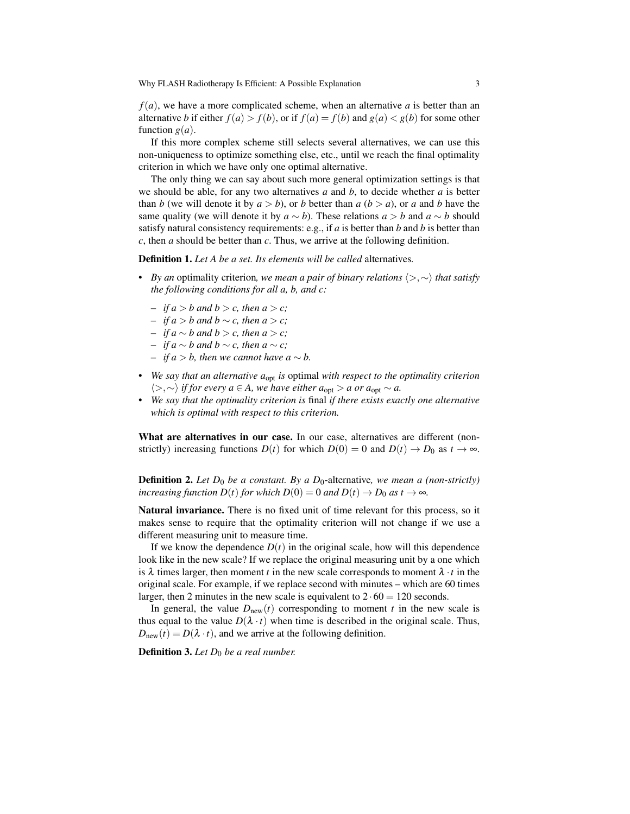Why FLASH Radiotherapy Is Efficient: A Possible Explanation 3

*f*(*a*), we have a more complicated scheme, when an alternative *a* is better than an alternative *b* if either  $f(a) > f(b)$ , or if  $f(a) = f(b)$  and  $g(a) < g(b)$  for some other function  $g(a)$ .

If this more complex scheme still selects several alternatives, we can use this non-uniqueness to optimize something else, etc., until we reach the final optimality criterion in which we have only one optimal alternative.

The only thing we can say about such more general optimization settings is that we should be able, for any two alternatives *a* and *b*, to decide whether *a* is better than *b* (we will denote it by  $a > b$ ), or *b* better than  $a (b > a)$ , or  $a$  and *b* have the same quality (we will denote it by  $a \sim b$ ). These relations  $a > b$  and  $a \sim b$  should satisfy natural consistency requirements: e.g., if *a* is better than *b* and *b* is better than *c*, then *a* should be better than *c*. Thus, we arrive at the following definition.

Definition 1. *Let A be a set. Its elements will be called* alternatives*.*

- *• By an* optimality criterion*, we mean a pair of binary relations* ⟨>,∼⟩ *that satisfy the following conditions for all a, b, and c:*
	- *– if*  $a > b$  *and*  $b > c$ *, then*  $a > c$ *;*
	- *– if a* > *b and b* ∼ *c, then a* > *c;*
	- *– if a* ∼ *b and b* > *c, then a* > *c;*
	- *– if a* ∼ *b and b* ∼ *c, then a* ∼ *c;*
	- *– if*  $a > b$ , then we cannot have  $a ∼ b$ .
- *We say that an alternative a*<sub>opt</sub> *is* optimal *with respect to the optimality criterion*  $\langle \rangle$ ,∼ $\rangle$  *if for every a* ∈ *A*, we have either  $a_{opt} > a$  or  $a_{opt} \sim a$ .
- *• We say that the optimality criterion is* final *if there exists exactly one alternative which is optimal with respect to this criterion.*

What are alternatives in our case. In our case, alternatives are different (nonstrictly) increasing functions  $D(t)$  for which  $D(0) = 0$  and  $D(t) \rightarrow D_0$  as  $t \rightarrow \infty$ .

**Definition 2.** Let  $D_0$  be a constant. By a  $D_0$ -alternative, we mean a (non-strictly) *increasing function D(t) for which D(0)* = 0 *and D(t)*  $\rightarrow$  *D<sub>0</sub> as t*  $\rightarrow \infty$ *.* 

Natural invariance. There is no fixed unit of time relevant for this process, so it makes sense to require that the optimality criterion will not change if we use a different measuring unit to measure time.

If we know the dependence  $D(t)$  in the original scale, how will this dependence look like in the new scale? If we replace the original measuring unit by a one which is  $\lambda$  times larger, then moment *t* in the new scale corresponds to moment  $\lambda \cdot t$  in the original scale. For example, if we replace second with minutes – which are 60 times larger, then 2 minutes in the new scale is equivalent to  $2 \cdot 60 = 120$  seconds.

In general, the value  $D_{\text{new}}(t)$  corresponding to moment *t* in the new scale is thus equal to the value  $D(\lambda \cdot t)$  when time is described in the original scale. Thus,  $D_{\text{new}}(t) = D(\lambda \cdot t)$ , and we arrive at the following definition.

Definition 3. Let  $D_0$  be a real number.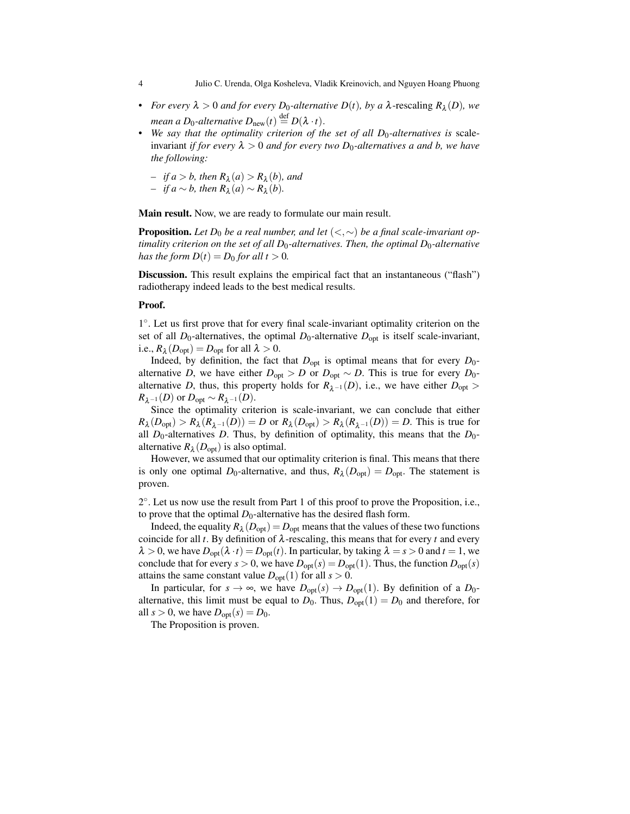4 Julio C. Urenda, Olga Kosheleva, Vladik Kreinovich, and Nguyen Hoang Phuong

- **•** *For every*  $\lambda > 0$  *and for every*  $D_0$ -alternative  $D(t)$ *, by a*  $\lambda$ -rescaling  $R_\lambda(D)$ *, we mean a D*<sub>0</sub>-alternative  $D_{\text{new}}(t) \stackrel{\text{def}}{=} D(\lambda \cdot t)$ .
- We say that the optimality criterion of the set of all D<sub>0</sub>-alternatives is scaleinvariant *if for every*  $\lambda > 0$  *and for every two*  $D_0$ -alternatives a and b, we have *the following:*
	- $-$  *if*  $a > b$ *, then*  $R_\lambda(a) > R_\lambda(b)$ *, and*
	- $-$  *if a* ∼ *b*, *then*  $R_{\lambda}(a)$  ∼  $R_{\lambda}(b)$ .

Main result. Now, we are ready to formulate our main result.

**Proposition.** Let  $D_0$  be a real number, and let  $\langle \langle \cdot, \sim \rangle$  be a final scale-invariant op*timality criterion on the set of all D*<sub>0</sub>-alternatives. Then, the optimal  $D_0$ -alternative *has the form*  $D(t) = D_0$  *for all t*  $> 0$ *.* 

Discussion. This result explains the empirical fact that an instantaneous ("flash") radiotherapy indeed leads to the best medical results.

#### Proof.

1°. Let us first prove that for every final scale-invariant optimality criterion on the set of all  $D_0$ -alternatives, the optimal  $D_0$ -alternative  $D_{opt}$  is itself scale-invariant, i.e.,  $R_{\lambda}(D_{\text{opt}}) = D_{\text{opt}}$  for all  $\lambda > 0$ .

Indeed, by definition, the fact that  $D_{opt}$  is optimal means that for every  $D_0$ alternative *D*, we have either  $D_{opt} > D$  or  $D_{opt} \sim D$ . This is true for every  $D_0$ alternative *D*, thus, this property holds for  $R_{\lambda^{-1}}(D)$ , i.e., we have either  $D_{opt}$  $R_{\lambda^{-1}}(D)$  or  $D_{\text{opt}} \sim R_{\lambda^{-1}}(D)$ .

Since the optimality criterion is scale-invariant, we can conclude that either  $R_{\lambda}(D_{\text{opt}}) > R_{\lambda}(R_{\lambda^{-1}}(D)) = D$  or  $R_{\lambda}(D_{\text{opt}}) > R_{\lambda}(R_{\lambda^{-1}}(D)) = D$ . This is true for all  $D_0$ -alternatives  $D$ . Thus, by definition of optimality, this means that the  $D_0$ alternative  $R_{\lambda}(D_{\text{opt}})$  is also optimal.

However, we assumed that our optimality criterion is final. This means that there is only one optimal  $D_0$ -alternative, and thus,  $R_\lambda(D_{opt}) = D_{opt}$ . The statement is proven.

2 ◦ . Let us now use the result from Part 1 of this proof to prove the Proposition, i.e., to prove that the optimal  $D_0$ -alternative has the desired flash form.

Indeed, the equality  $R_{\lambda}(D_{\text{opt}})$   $=$   $D_{\text{opt}}$  means that the values of these two functions coincide for all *t*. By definition of  $\lambda$ -rescaling, this means that for every *t* and every  $\lambda > 0$ , we have  $D_{opt}(\lambda \cdot t) = D_{opt}(t)$ . In particular, by taking  $\lambda = s > 0$  and  $t = 1$ , we conclude that for every  $s > 0$ , we have  $D_{opt}(s) = D_{opt}(1)$ . Thus, the function  $D_{opt}(s)$ attains the same constant value  $D_{opt}(1)$  for all  $s > 0$ .

In particular, for  $s \to \infty$ , we have  $D_{opt}(s) \to D_{opt}(1)$ . By definition of a  $D_0$ alternative, this limit must be equal to  $D_0$ . Thus,  $D_{\text{opt}}(1) = D_0$  and therefore, for all  $s > 0$ , we have  $D_{opt}(s) = D_0$ .

The Proposition is proven.